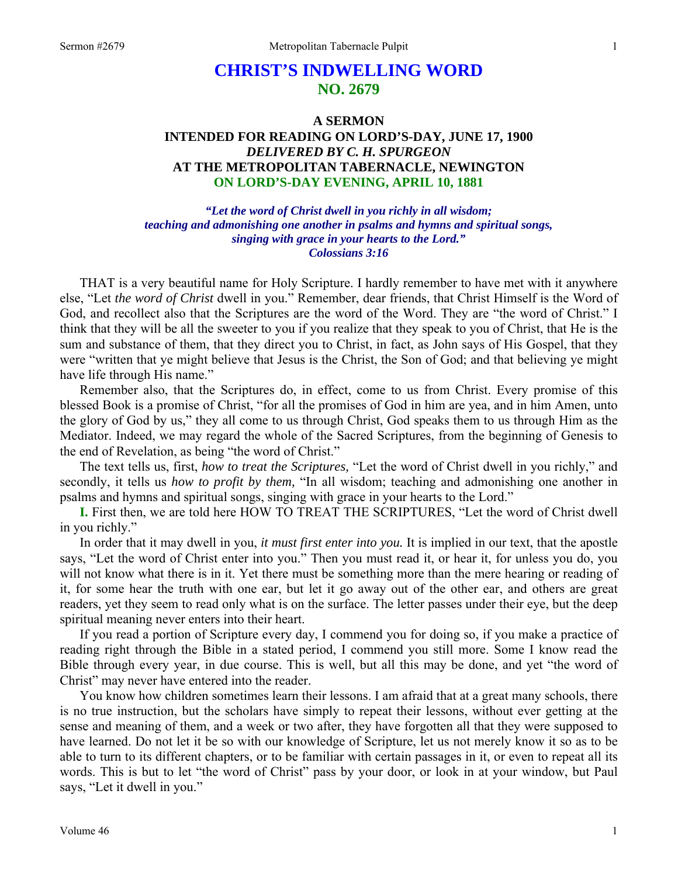# **CHRIST'S INDWELLING WORD NO. 2679**

## **A SERMON INTENDED FOR READING ON LORD'S-DAY, JUNE 17, 1900**  *DELIVERED BY C. H. SPURGEON*  **AT THE METROPOLITAN TABERNACLE, NEWINGTON ON LORD'S-DAY EVENING, APRIL 10, 1881**

*"Let the word of Christ dwell in you richly in all wisdom; teaching and admonishing one another in psalms and hymns and spiritual songs, singing with grace in your hearts to the Lord." Colossians 3:16* 

THAT is a very beautiful name for Holy Scripture. I hardly remember to have met with it anywhere else, "Let *the word of Christ* dwell in you." Remember, dear friends, that Christ Himself is the Word of God, and recollect also that the Scriptures are the word of the Word. They are "the word of Christ." I think that they will be all the sweeter to you if you realize that they speak to you of Christ, that He is the sum and substance of them, that they direct you to Christ, in fact, as John says of His Gospel, that they were "written that ye might believe that Jesus is the Christ, the Son of God; and that believing ye might have life through His name."

Remember also, that the Scriptures do, in effect, come to us from Christ. Every promise of this blessed Book is a promise of Christ, "for all the promises of God in him are yea, and in him Amen, unto the glory of God by us," they all come to us through Christ, God speaks them to us through Him as the Mediator. Indeed, we may regard the whole of the Sacred Scriptures, from the beginning of Genesis to the end of Revelation, as being "the word of Christ."

The text tells us, first, *how to treat the Scriptures,* "Let the word of Christ dwell in you richly," and secondly, it tells us *how to profit by them,* "In all wisdom; teaching and admonishing one another in psalms and hymns and spiritual songs, singing with grace in your hearts to the Lord."

**I.** First then, we are told here HOW TO TREAT THE SCRIPTURES, "Let the word of Christ dwell in you richly."

In order that it may dwell in you, *it must first enter into you.* It is implied in our text, that the apostle says, "Let the word of Christ enter into you." Then you must read it, or hear it, for unless you do, you will not know what there is in it. Yet there must be something more than the mere hearing or reading of it, for some hear the truth with one ear, but let it go away out of the other ear, and others are great readers, yet they seem to read only what is on the surface. The letter passes under their eye, but the deep spiritual meaning never enters into their heart.

If you read a portion of Scripture every day, I commend you for doing so, if you make a practice of reading right through the Bible in a stated period, I commend you still more. Some I know read the Bible through every year, in due course. This is well, but all this may be done, and yet "the word of Christ" may never have entered into the reader.

You know how children sometimes learn their lessons. I am afraid that at a great many schools, there is no true instruction, but the scholars have simply to repeat their lessons, without ever getting at the sense and meaning of them, and a week or two after, they have forgotten all that they were supposed to have learned. Do not let it be so with our knowledge of Scripture, let us not merely know it so as to be able to turn to its different chapters, or to be familiar with certain passages in it, or even to repeat all its words. This is but to let "the word of Christ" pass by your door, or look in at your window, but Paul says, "Let it dwell in you."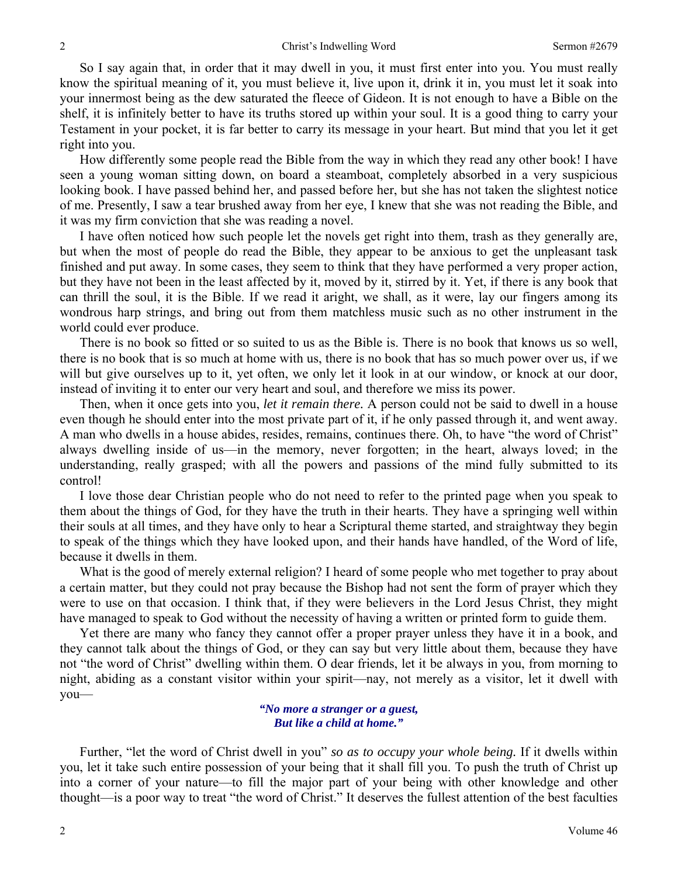So I say again that, in order that it may dwell in you, it must first enter into you. You must really know the spiritual meaning of it, you must believe it, live upon it, drink it in, you must let it soak into your innermost being as the dew saturated the fleece of Gideon. It is not enough to have a Bible on the shelf, it is infinitely better to have its truths stored up within your soul. It is a good thing to carry your Testament in your pocket, it is far better to carry its message in your heart. But mind that you let it get right into you.

How differently some people read the Bible from the way in which they read any other book! I have seen a young woman sitting down, on board a steamboat, completely absorbed in a very suspicious looking book. I have passed behind her, and passed before her, but she has not taken the slightest notice of me. Presently, I saw a tear brushed away from her eye, I knew that she was not reading the Bible, and it was my firm conviction that she was reading a novel.

I have often noticed how such people let the novels get right into them, trash as they generally are, but when the most of people do read the Bible, they appear to be anxious to get the unpleasant task finished and put away. In some cases, they seem to think that they have performed a very proper action, but they have not been in the least affected by it, moved by it, stirred by it. Yet, if there is any book that can thrill the soul, it is the Bible. If we read it aright, we shall, as it were, lay our fingers among its wondrous harp strings, and bring out from them matchless music such as no other instrument in the world could ever produce.

There is no book so fitted or so suited to us as the Bible is. There is no book that knows us so well, there is no book that is so much at home with us, there is no book that has so much power over us, if we will but give ourselves up to it, yet often, we only let it look in at our window, or knock at our door, instead of inviting it to enter our very heart and soul, and therefore we miss its power.

Then, when it once gets into you, *let it remain there.* A person could not be said to dwell in a house even though he should enter into the most private part of it, if he only passed through it, and went away. A man who dwells in a house abides, resides, remains, continues there. Oh, to have "the word of Christ" always dwelling inside of us—in the memory, never forgotten; in the heart, always loved; in the understanding, really grasped; with all the powers and passions of the mind fully submitted to its control!

I love those dear Christian people who do not need to refer to the printed page when you speak to them about the things of God, for they have the truth in their hearts. They have a springing well within their souls at all times, and they have only to hear a Scriptural theme started, and straightway they begin to speak of the things which they have looked upon, and their hands have handled, of the Word of life, because it dwells in them.

What is the good of merely external religion? I heard of some people who met together to pray about a certain matter, but they could not pray because the Bishop had not sent the form of prayer which they were to use on that occasion. I think that, if they were believers in the Lord Jesus Christ, they might have managed to speak to God without the necessity of having a written or printed form to guide them.

Yet there are many who fancy they cannot offer a proper prayer unless they have it in a book, and they cannot talk about the things of God, or they can say but very little about them, because they have not "the word of Christ" dwelling within them. O dear friends, let it be always in you, from morning to night, abiding as a constant visitor within your spirit—nay, not merely as a visitor, let it dwell with you—

#### *"No more a stranger or a guest, But like a child at home."*

Further, "let the word of Christ dwell in you" *so as to occupy your whole being.* If it dwells within you, let it take such entire possession of your being that it shall fill you. To push the truth of Christ up into a corner of your nature—to fill the major part of your being with other knowledge and other thought—is a poor way to treat "the word of Christ." It deserves the fullest attention of the best faculties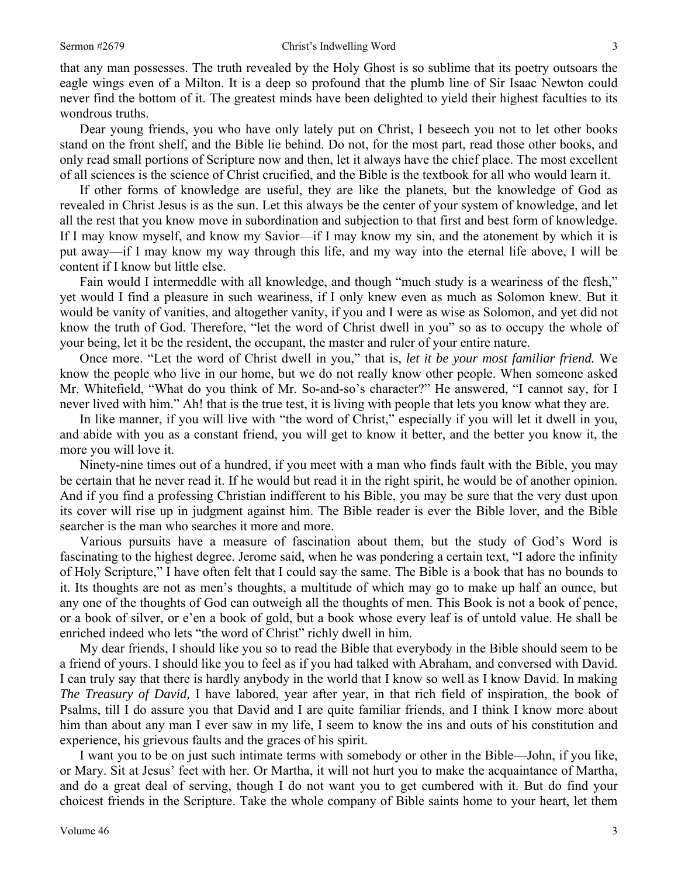that any man possesses. The truth revealed by the Holy Ghost is so sublime that its poetry outsoars the eagle wings even of a Milton. It is a deep so profound that the plumb line of Sir Isaac Newton could never find the bottom of it. The greatest minds have been delighted to yield their highest faculties to its wondrous truths.

Dear young friends, you who have only lately put on Christ, I beseech you not to let other books stand on the front shelf, and the Bible lie behind. Do not, for the most part, read those other books, and only read small portions of Scripture now and then, let it always have the chief place. The most excellent of all sciences is the science of Christ crucified, and the Bible is the textbook for all who would learn it.

If other forms of knowledge are useful, they are like the planets, but the knowledge of God as revealed in Christ Jesus is as the sun. Let this always be the center of your system of knowledge, and let all the rest that you know move in subordination and subjection to that first and best form of knowledge. If I may know myself, and know my Savior—if I may know my sin, and the atonement by which it is put away—if I may know my way through this life, and my way into the eternal life above, I will be content if I know but little else.

Fain would I intermeddle with all knowledge, and though "much study is a weariness of the flesh," yet would I find a pleasure in such weariness, if I only knew even as much as Solomon knew. But it would be vanity of vanities, and altogether vanity, if you and I were as wise as Solomon, and yet did not know the truth of God. Therefore, "let the word of Christ dwell in you" so as to occupy the whole of your being, let it be the resident, the occupant, the master and ruler of your entire nature.

Once more. "Let the word of Christ dwell in you," that is, *let it be your most familiar friend.* We know the people who live in our home, but we do not really know other people. When someone asked Mr. Whitefield, "What do you think of Mr. So-and-so's character?" He answered, "I cannot say, for I never lived with him." Ah! that is the true test, it is living with people that lets you know what they are.

In like manner, if you will live with "the word of Christ," especially if you will let it dwell in you, and abide with you as a constant friend, you will get to know it better, and the better you know it, the more you will love it.

Ninety-nine times out of a hundred, if you meet with a man who finds fault with the Bible, you may be certain that he never read it. If he would but read it in the right spirit, he would be of another opinion. And if you find a professing Christian indifferent to his Bible, you may be sure that the very dust upon its cover will rise up in judgment against him. The Bible reader is ever the Bible lover, and the Bible searcher is the man who searches it more and more.

Various pursuits have a measure of fascination about them, but the study of God's Word is fascinating to the highest degree. Jerome said, when he was pondering a certain text, "I adore the infinity of Holy Scripture," I have often felt that I could say the same. The Bible is a book that has no bounds to it. Its thoughts are not as men's thoughts, a multitude of which may go to make up half an ounce, but any one of the thoughts of God can outweigh all the thoughts of men. This Book is not a book of pence, or a book of silver, or e'en a book of gold, but a book whose every leaf is of untold value. He shall be enriched indeed who lets "the word of Christ" richly dwell in him.

My dear friends, I should like you so to read the Bible that everybody in the Bible should seem to be a friend of yours. I should like you to feel as if you had talked with Abraham, and conversed with David. I can truly say that there is hardly anybody in the world that I know so well as I know David. In making *The Treasury of David,* I have labored, year after year, in that rich field of inspiration, the book of Psalms, till I do assure you that David and I are quite familiar friends, and I think I know more about him than about any man I ever saw in my life, I seem to know the ins and outs of his constitution and experience, his grievous faults and the graces of his spirit.

I want you to be on just such intimate terms with somebody or other in the Bible—John, if you like, or Mary. Sit at Jesus' feet with her. Or Martha, it will not hurt you to make the acquaintance of Martha, and do a great deal of serving, though I do not want you to get cumbered with it. But do find your choicest friends in the Scripture. Take the whole company of Bible saints home to your heart, let them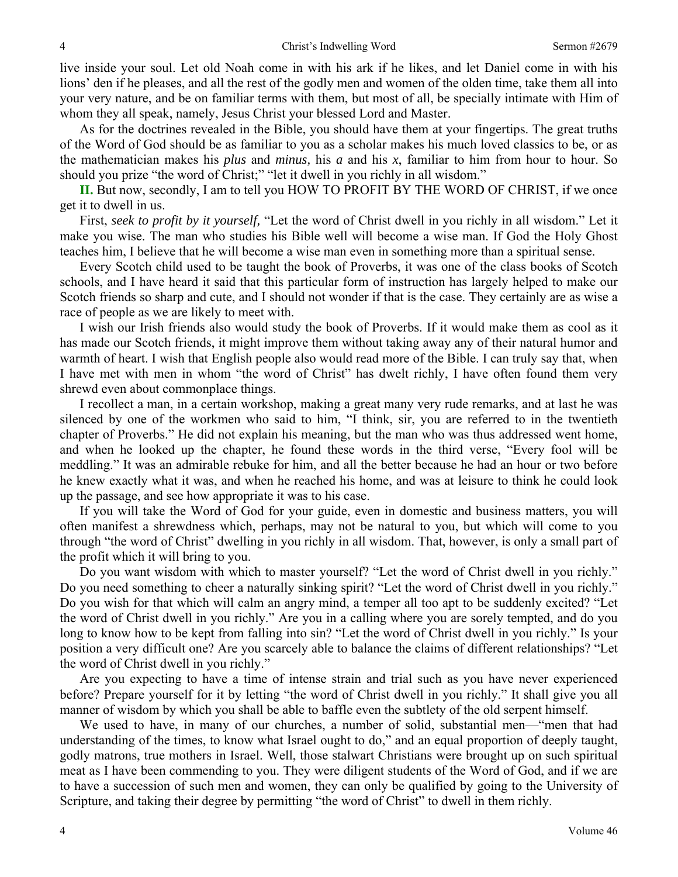live inside your soul. Let old Noah come in with his ark if he likes, and let Daniel come in with his lions' den if he pleases, and all the rest of the godly men and women of the olden time, take them all into your very nature, and be on familiar terms with them, but most of all, be specially intimate with Him of whom they all speak, namely, Jesus Christ your blessed Lord and Master.

As for the doctrines revealed in the Bible, you should have them at your fingertips. The great truths of the Word of God should be as familiar to you as a scholar makes his much loved classics to be, or as the mathematician makes his *plus* and *minus,* his *a* and his *x*, familiar to him from hour to hour. So should you prize "the word of Christ;" "let it dwell in you richly in all wisdom."

**II.** But now, secondly, I am to tell you HOW TO PROFIT BY THE WORD OF CHRIST, if we once get it to dwell in us.

First, *seek to profit by it yourself,* "Let the word of Christ dwell in you richly in all wisdom." Let it make you wise. The man who studies his Bible well will become a wise man. If God the Holy Ghost teaches him, I believe that he will become a wise man even in something more than a spiritual sense.

Every Scotch child used to be taught the book of Proverbs, it was one of the class books of Scotch schools, and I have heard it said that this particular form of instruction has largely helped to make our Scotch friends so sharp and cute, and I should not wonder if that is the case. They certainly are as wise a race of people as we are likely to meet with.

I wish our Irish friends also would study the book of Proverbs. If it would make them as cool as it has made our Scotch friends, it might improve them without taking away any of their natural humor and warmth of heart. I wish that English people also would read more of the Bible. I can truly say that, when I have met with men in whom "the word of Christ" has dwelt richly, I have often found them very shrewd even about commonplace things.

I recollect a man, in a certain workshop, making a great many very rude remarks, and at last he was silenced by one of the workmen who said to him, "I think, sir, you are referred to in the twentieth chapter of Proverbs." He did not explain his meaning, but the man who was thus addressed went home, and when he looked up the chapter, he found these words in the third verse, "Every fool will be meddling." It was an admirable rebuke for him, and all the better because he had an hour or two before he knew exactly what it was, and when he reached his home, and was at leisure to think he could look up the passage, and see how appropriate it was to his case.

If you will take the Word of God for your guide, even in domestic and business matters, you will often manifest a shrewdness which, perhaps, may not be natural to you, but which will come to you through "the word of Christ" dwelling in you richly in all wisdom. That, however, is only a small part of the profit which it will bring to you.

Do you want wisdom with which to master yourself? "Let the word of Christ dwell in you richly." Do you need something to cheer a naturally sinking spirit? "Let the word of Christ dwell in you richly." Do you wish for that which will calm an angry mind, a temper all too apt to be suddenly excited? "Let the word of Christ dwell in you richly." Are you in a calling where you are sorely tempted, and do you long to know how to be kept from falling into sin? "Let the word of Christ dwell in you richly." Is your position a very difficult one? Are you scarcely able to balance the claims of different relationships? "Let the word of Christ dwell in you richly."

Are you expecting to have a time of intense strain and trial such as you have never experienced before? Prepare yourself for it by letting "the word of Christ dwell in you richly." It shall give you all manner of wisdom by which you shall be able to baffle even the subtlety of the old serpent himself.

We used to have, in many of our churches, a number of solid, substantial men—"men that had understanding of the times, to know what Israel ought to do," and an equal proportion of deeply taught, godly matrons, true mothers in Israel. Well, those stalwart Christians were brought up on such spiritual meat as I have been commending to you. They were diligent students of the Word of God, and if we are to have a succession of such men and women, they can only be qualified by going to the University of Scripture, and taking their degree by permitting "the word of Christ" to dwell in them richly.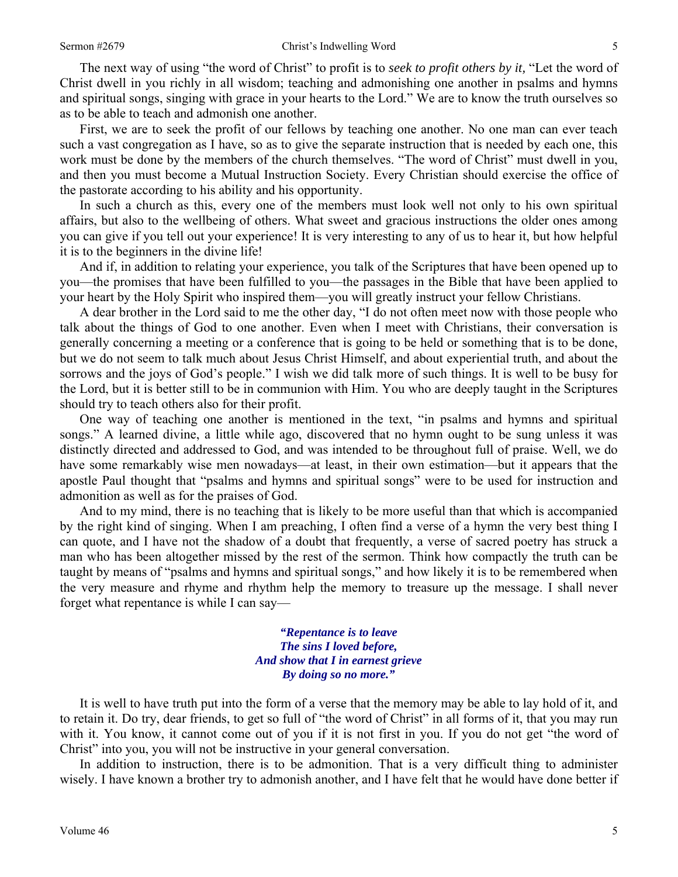The next way of using "the word of Christ" to profit is to *seek to profit others by it,* "Let the word of Christ dwell in you richly in all wisdom; teaching and admonishing one another in psalms and hymns and spiritual songs, singing with grace in your hearts to the Lord." We are to know the truth ourselves so as to be able to teach and admonish one another.

First, we are to seek the profit of our fellows by teaching one another. No one man can ever teach such a vast congregation as I have, so as to give the separate instruction that is needed by each one, this work must be done by the members of the church themselves. "The word of Christ" must dwell in you, and then you must become a Mutual Instruction Society. Every Christian should exercise the office of the pastorate according to his ability and his opportunity.

In such a church as this, every one of the members must look well not only to his own spiritual affairs, but also to the wellbeing of others. What sweet and gracious instructions the older ones among you can give if you tell out your experience! It is very interesting to any of us to hear it, but how helpful it is to the beginners in the divine life!

And if, in addition to relating your experience, you talk of the Scriptures that have been opened up to you—the promises that have been fulfilled to you—the passages in the Bible that have been applied to your heart by the Holy Spirit who inspired them—you will greatly instruct your fellow Christians.

A dear brother in the Lord said to me the other day, "I do not often meet now with those people who talk about the things of God to one another. Even when I meet with Christians, their conversation is generally concerning a meeting or a conference that is going to be held or something that is to be done, but we do not seem to talk much about Jesus Christ Himself, and about experiential truth, and about the sorrows and the joys of God's people." I wish we did talk more of such things. It is well to be busy for the Lord, but it is better still to be in communion with Him. You who are deeply taught in the Scriptures should try to teach others also for their profit.

One way of teaching one another is mentioned in the text, "in psalms and hymns and spiritual songs." A learned divine, a little while ago, discovered that no hymn ought to be sung unless it was distinctly directed and addressed to God, and was intended to be throughout full of praise. Well, we do have some remarkably wise men nowadays—at least, in their own estimation—but it appears that the apostle Paul thought that "psalms and hymns and spiritual songs" were to be used for instruction and admonition as well as for the praises of God.

And to my mind, there is no teaching that is likely to be more useful than that which is accompanied by the right kind of singing. When I am preaching, I often find a verse of a hymn the very best thing I can quote, and I have not the shadow of a doubt that frequently, a verse of sacred poetry has struck a man who has been altogether missed by the rest of the sermon. Think how compactly the truth can be taught by means of "psalms and hymns and spiritual songs," and how likely it is to be remembered when the very measure and rhyme and rhythm help the memory to treasure up the message. I shall never forget what repentance is while I can say—

> *"Repentance is to leave The sins I loved before, And show that I in earnest grieve By doing so no more."*

It is well to have truth put into the form of a verse that the memory may be able to lay hold of it, and to retain it. Do try, dear friends, to get so full of "the word of Christ" in all forms of it, that you may run with it. You know, it cannot come out of you if it is not first in you. If you do not get "the word of Christ" into you, you will not be instructive in your general conversation.

In addition to instruction, there is to be admonition. That is a very difficult thing to administer wisely. I have known a brother try to admonish another, and I have felt that he would have done better if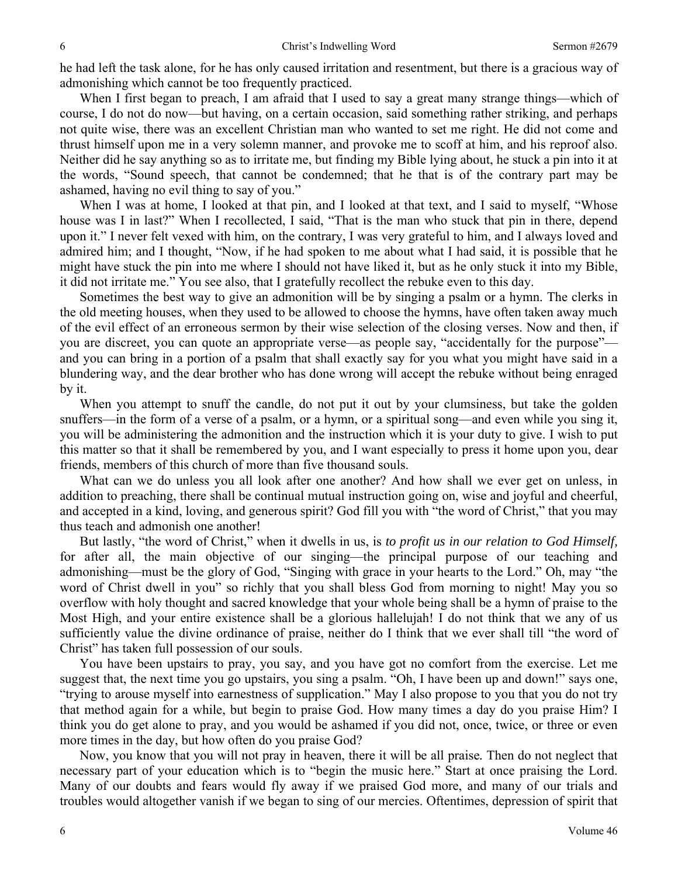he had left the task alone, for he has only caused irritation and resentment, but there is a gracious way of admonishing which cannot be too frequently practiced.

When I first began to preach, I am afraid that I used to say a great many strange things—which of course, I do not do now—but having, on a certain occasion, said something rather striking, and perhaps not quite wise, there was an excellent Christian man who wanted to set me right. He did not come and thrust himself upon me in a very solemn manner, and provoke me to scoff at him, and his reproof also. Neither did he say anything so as to irritate me, but finding my Bible lying about, he stuck a pin into it at the words, "Sound speech, that cannot be condemned; that he that is of the contrary part may be ashamed, having no evil thing to say of you."

When I was at home, I looked at that pin, and I looked at that text, and I said to myself, "Whose house was I in last?" When I recollected, I said, "That is the man who stuck that pin in there, depend upon it." I never felt vexed with him, on the contrary, I was very grateful to him, and I always loved and admired him; and I thought, "Now, if he had spoken to me about what I had said, it is possible that he might have stuck the pin into me where I should not have liked it, but as he only stuck it into my Bible, it did not irritate me." You see also, that I gratefully recollect the rebuke even to this day.

Sometimes the best way to give an admonition will be by singing a psalm or a hymn. The clerks in the old meeting houses, when they used to be allowed to choose the hymns, have often taken away much of the evil effect of an erroneous sermon by their wise selection of the closing verses. Now and then, if you are discreet, you can quote an appropriate verse—as people say, "accidentally for the purpose" and you can bring in a portion of a psalm that shall exactly say for you what you might have said in a blundering way, and the dear brother who has done wrong will accept the rebuke without being enraged by it.

When you attempt to snuff the candle, do not put it out by your clumsiness, but take the golden snuffers—in the form of a verse of a psalm, or a hymn, or a spiritual song—and even while you sing it, you will be administering the admonition and the instruction which it is your duty to give. I wish to put this matter so that it shall be remembered by you, and I want especially to press it home upon you, dear friends, members of this church of more than five thousand souls.

What can we do unless you all look after one another? And how shall we ever get on unless, in addition to preaching, there shall be continual mutual instruction going on, wise and joyful and cheerful, and accepted in a kind, loving, and generous spirit? God fill you with "the word of Christ," that you may thus teach and admonish one another!

But lastly, "the word of Christ," when it dwells in us, is *to profit us in our relation to God Himself,*  for after all, the main objective of our singing—the principal purpose of our teaching and admonishing—must be the glory of God, "Singing with grace in your hearts to the Lord." Oh, may "the word of Christ dwell in you" so richly that you shall bless God from morning to night! May you so overflow with holy thought and sacred knowledge that your whole being shall be a hymn of praise to the Most High, and your entire existence shall be a glorious hallelujah! I do not think that we any of us sufficiently value the divine ordinance of praise, neither do I think that we ever shall till "the word of Christ" has taken full possession of our souls.

You have been upstairs to pray, you say, and you have got no comfort from the exercise. Let me suggest that, the next time you go upstairs, you sing a psalm. "Oh, I have been up and down!" says one, "trying to arouse myself into earnestness of supplication." May I also propose to you that you do not try that method again for a while, but begin to praise God. How many times a day do you praise Him? I think you do get alone to pray, and you would be ashamed if you did not, once, twice, or three or even more times in the day, but how often do you praise God?

Now, you know that you will not pray in heaven, there it will be all praise*.* Then do not neglect that necessary part of your education which is to "begin the music here." Start at once praising the Lord. Many of our doubts and fears would fly away if we praised God more, and many of our trials and troubles would altogether vanish if we began to sing of our mercies. Oftentimes, depression of spirit that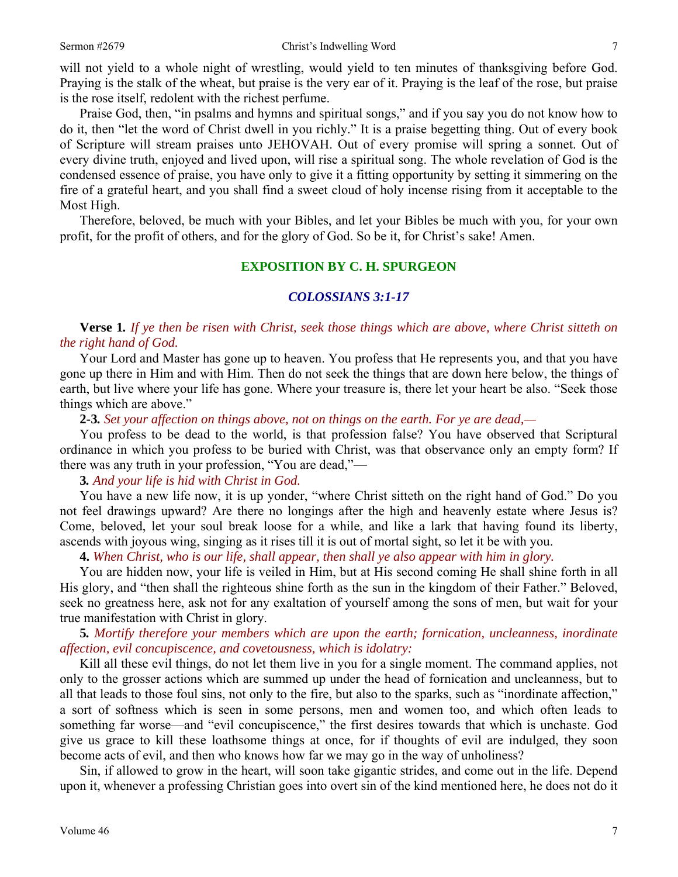will not yield to a whole night of wrestling, would yield to ten minutes of thanksgiving before God. Praying is the stalk of the wheat, but praise is the very ear of it. Praying is the leaf of the rose, but praise is the rose itself, redolent with the richest perfume.

Praise God, then, "in psalms and hymns and spiritual songs," and if you say you do not know how to do it, then "let the word of Christ dwell in you richly." It is a praise begetting thing. Out of every book of Scripture will stream praises unto JEHOVAH. Out of every promise will spring a sonnet. Out of every divine truth, enjoyed and lived upon, will rise a spiritual song. The whole revelation of God is the condensed essence of praise, you have only to give it a fitting opportunity by setting it simmering on the fire of a grateful heart, and you shall find a sweet cloud of holy incense rising from it acceptable to the Most High.

Therefore, beloved, be much with your Bibles, and let your Bibles be much with you, for your own profit, for the profit of others, and for the glory of God. So be it, for Christ's sake! Amen.

#### **EXPOSITION BY C. H. SPURGEON**

#### *COLOSSIANS 3:1-17*

**Verse 1***. If ye then be risen with Christ, seek those things which are above, where Christ sitteth on the right hand of God.* 

Your Lord and Master has gone up to heaven. You profess that He represents you, and that you have gone up there in Him and with Him. Then do not seek the things that are down here below, the things of earth, but live where your life has gone. Where your treasure is, there let your heart be also. "Seek those things which are above."

**2-3***. Set your affection on things above, not on things on the earth. For ye are dead,—*

You profess to be dead to the world, is that profession false? You have observed that Scriptural ordinance in which you profess to be buried with Christ, was that observance only an empty form? If there was any truth in your profession, "You are dead,"—

**3***. And your life is hid with Christ in God.* 

You have a new life now, it is up yonder, "where Christ sitteth on the right hand of God." Do you not feel drawings upward? Are there no longings after the high and heavenly estate where Jesus is? Come, beloved, let your soul break loose for a while, and like a lark that having found its liberty, ascends with joyous wing, singing as it rises till it is out of mortal sight, so let it be with you.

**4.** *When Christ, who is our life, shall appear, then shall ye also appear with him in glory.* 

You are hidden now, your life is veiled in Him, but at His second coming He shall shine forth in all His glory, and "then shall the righteous shine forth as the sun in the kingdom of their Father." Beloved, seek no greatness here, ask not for any exaltation of yourself among the sons of men, but wait for your true manifestation with Christ in glory.

**5***. Mortify therefore your members which are upon the earth; fornication, uncleanness, inordinate affection, evil concupiscence, and covetousness, which is idolatry:* 

Kill all these evil things, do not let them live in you for a single moment. The command applies, not only to the grosser actions which are summed up under the head of fornication and uncleanness, but to all that leads to those foul sins, not only to the fire, but also to the sparks, such as "inordinate affection," a sort of softness which is seen in some persons, men and women too, and which often leads to something far worse—and "evil concupiscence," the first desires towards that which is unchaste. God give us grace to kill these loathsome things at once, for if thoughts of evil are indulged, they soon become acts of evil, and then who knows how far we may go in the way of unholiness?

Sin, if allowed to grow in the heart, will soon take gigantic strides, and come out in the life. Depend upon it, whenever a professing Christian goes into overt sin of the kind mentioned here, he does not do it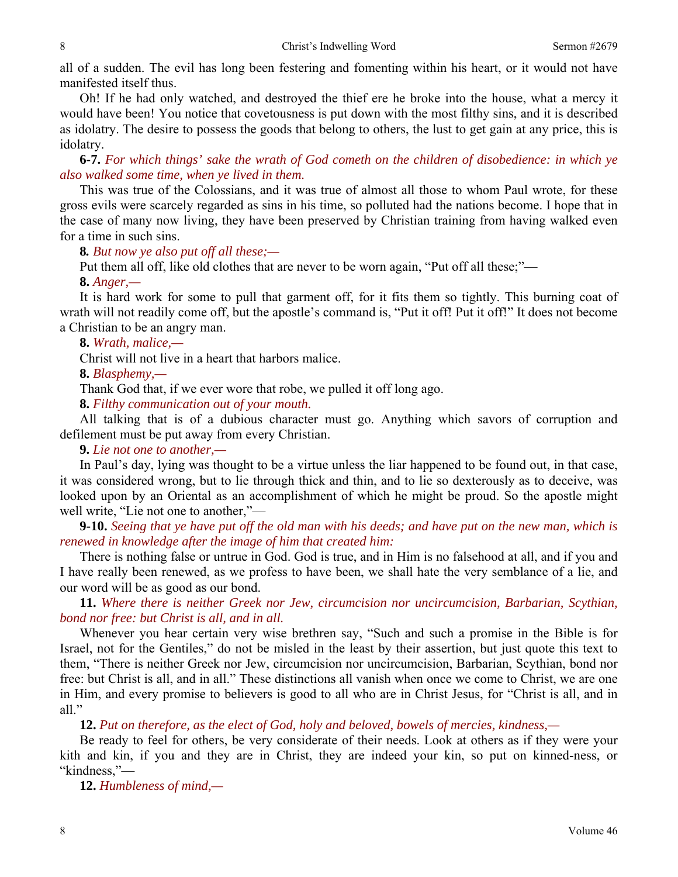all of a sudden. The evil has long been festering and fomenting within his heart, or it would not have manifested itself thus.

Oh! If he had only watched, and destroyed the thief ere he broke into the house, what a mercy it would have been! You notice that covetousness is put down with the most filthy sins, and it is described as idolatry. The desire to possess the goods that belong to others, the lust to get gain at any price, this is idolatry.

**6-7.** *For which things' sake the wrath of God cometh on the children of disobedience: in which ye also walked some time, when ye lived in them.* 

This was true of the Colossians, and it was true of almost all those to whom Paul wrote, for these gross evils were scarcely regarded as sins in his time, so polluted had the nations become. I hope that in the case of many now living, they have been preserved by Christian training from having walked even for a time in such sins.

**8***. But now ye also put off all these;—* 

Put them all off, like old clothes that are never to be worn again, "Put off all these;"—

**8.** *Anger,—* 

It is hard work for some to pull that garment off, for it fits them so tightly. This burning coat of wrath will not readily come off, but the apostle's command is, "Put it off! Put it off!" It does not become a Christian to be an angry man.

**8.** *Wrath, malice,—* 

Christ will not live in a heart that harbors malice.

**8.** *Blasphemy,—* 

Thank God that, if we ever wore that robe, we pulled it off long ago.

**8.** *Filthy communication out of your mouth.* 

All talking that is of a dubious character must go. Anything which savors of corruption and defilement must be put away from every Christian.

**9.** *Lie not one to another,—* 

In Paul's day, lying was thought to be a virtue unless the liar happened to be found out, in that case, it was considered wrong, but to lie through thick and thin, and to lie so dexterously as to deceive, was looked upon by an Oriental as an accomplishment of which he might be proud. So the apostle might well write, "Lie not one to another,"—

**9-10.** *Seeing that ye have put off the old man with his deeds; and have put on the new man, which is renewed in knowledge after the image of him that created him:* 

There is nothing false or untrue in God. God is true, and in Him is no falsehood at all, and if you and I have really been renewed, as we profess to have been, we shall hate the very semblance of a lie, and our word will be as good as our bond.

**11.** *Where there is neither Greek nor Jew, circumcision nor uncircumcision, Barbarian, Scythian, bond nor free: but Christ is all, and in all.* 

Whenever you hear certain very wise brethren say, "Such and such a promise in the Bible is for Israel, not for the Gentiles," do not be misled in the least by their assertion, but just quote this text to them, "There is neither Greek nor Jew, circumcision nor uncircumcision, Barbarian, Scythian, bond nor free: but Christ is all, and in all." These distinctions all vanish when once we come to Christ, we are one in Him, and every promise to believers is good to all who are in Christ Jesus, for "Christ is all, and in all."

**12.** *Put on therefore, as the elect of God, holy and beloved, bowels of mercies, kindness,—* 

Be ready to feel for others, be very considerate of their needs. Look at others as if they were your kith and kin, if you and they are in Christ, they are indeed your kin, so put on kinned-ness, or "kindness,"—

**12.** *Humbleness of mind,—*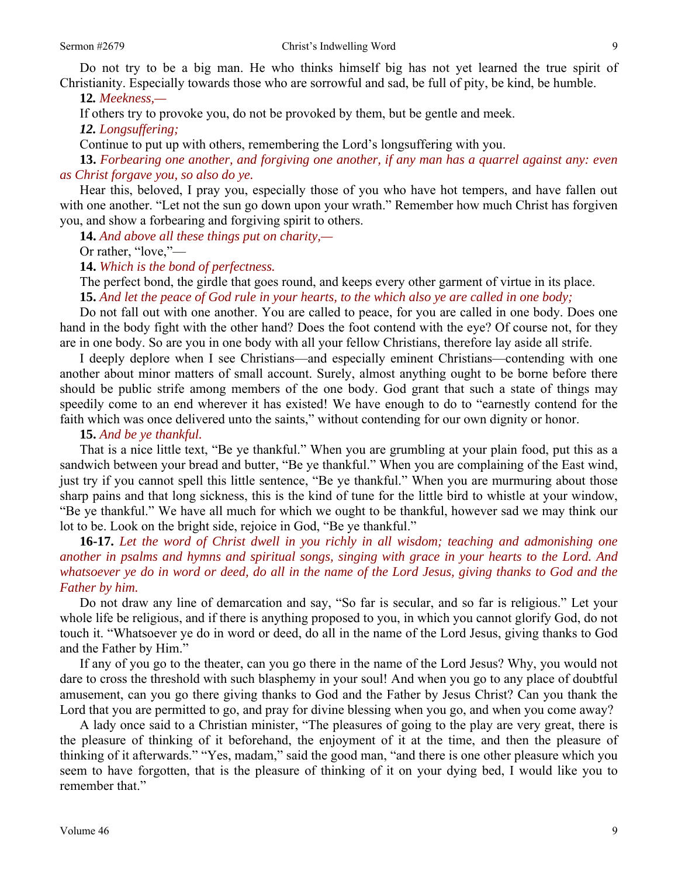Do not try to be a big man. He who thinks himself big has not yet learned the true spirit of Christianity. Especially towards those who are sorrowful and sad, be full of pity, be kind, be humble.

### **12***. Meekness,—*

If others try to provoke you, do not be provoked by them, but be gentle and meek.

*12. Longsuffering;* 

Continue to put up with others, remembering the Lord's longsuffering with you.

**13.** *Forbearing one another, and forgiving one another, if any man has a quarrel against any: even as Christ forgave you, so also do ye.* 

Hear this, beloved, I pray you, especially those of you who have hot tempers, and have fallen out with one another. "Let not the sun go down upon your wrath." Remember how much Christ has forgiven you, and show a forbearing and forgiving spirit to others.

**14.** *And above all these things put on charity,—* 

Or rather, "love,"—

**14.** *Which is the bond of perfectness.* 

The perfect bond, the girdle that goes round, and keeps every other garment of virtue in its place. **15.** *And let the peace of God rule in your hearts, to the which also ye are called in one body;* 

Do not fall out with one another. You are called to peace, for you are called in one body. Does one hand in the body fight with the other hand? Does the foot contend with the eye? Of course not, for they are in one body. So are you in one body with all your fellow Christians, therefore lay aside all strife.

I deeply deplore when I see Christians—and especially eminent Christians—contending with one another about minor matters of small account. Surely, almost anything ought to be borne before there should be public strife among members of the one body. God grant that such a state of things may speedily come to an end wherever it has existed! We have enough to do to "earnestly contend for the faith which was once delivered unto the saints," without contending for our own dignity or honor.

#### **15.** *And be ye thankful.*

That is a nice little text, "Be ye thankful." When you are grumbling at your plain food, put this as a sandwich between your bread and butter, "Be ye thankful." When you are complaining of the East wind, just try if you cannot spell this little sentence, "Be ye thankful." When you are murmuring about those sharp pains and that long sickness, this is the kind of tune for the little bird to whistle at your window, "Be ye thankful." We have all much for which we ought to be thankful, however sad we may think our lot to be. Look on the bright side, rejoice in God, "Be ye thankful."

**16-17.** *Let the word of Christ dwell in you richly in all wisdom; teaching and admonishing one another in psalms and hymns and spiritual songs, singing with grace in your hearts to the Lord. And whatsoever ye do in word or deed, do all in the name of the Lord Jesus, giving thanks to God and the Father by him.* 

Do not draw any line of demarcation and say, "So far is secular, and so far is religious." Let your whole life be religious, and if there is anything proposed to you, in which you cannot glorify God, do not touch it. "Whatsoever ye do in word or deed, do all in the name of the Lord Jesus, giving thanks to God and the Father by Him."

If any of you go to the theater, can you go there in the name of the Lord Jesus? Why, you would not dare to cross the threshold with such blasphemy in your soul! And when you go to any place of doubtful amusement, can you go there giving thanks to God and the Father by Jesus Christ? Can you thank the Lord that you are permitted to go, and pray for divine blessing when you go, and when you come away?

A lady once said to a Christian minister, "The pleasures of going to the play are very great, there is the pleasure of thinking of it beforehand, the enjoyment of it at the time, and then the pleasure of thinking of it afterwards." "Yes, madam," said the good man, "and there is one other pleasure which you seem to have forgotten, that is the pleasure of thinking of it on your dying bed, I would like you to remember that."